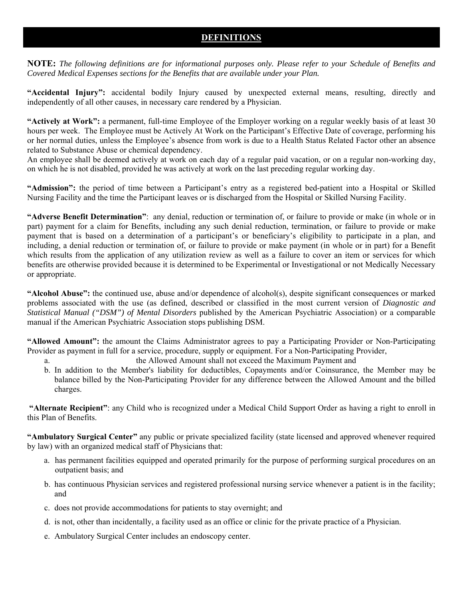# **DEFINITIONS**

**NOTE:** *The following definitions are for informational purposes only. Please refer to your Schedule of Benefits and Covered Medical Expenses sections for the Benefits that are available under your Plan.* 

**"Accidental Injury":** accidental bodily Injury caused by unexpected external means, resulting, directly and independently of all other causes, in necessary care rendered by a Physician.

**"Actively at Work":** a permanent, full-time Employee of the Employer working on a regular weekly basis of at least 30 hours per week. The Employee must be Actively At Work on the Participant's Effective Date of coverage, performing his or her normal duties, unless the Employee's absence from work is due to a Health Status Related Factor other an absence related to Substance Abuse or chemical dependency.

An employee shall be deemed actively at work on each day of a regular paid vacation, or on a regular non-working day, on which he is not disabled, provided he was actively at work on the last preceding regular working day.

**"Admission":** the period of time between a Participant's entry as a registered bed-patient into a Hospital or Skilled Nursing Facility and the time the Participant leaves or is discharged from the Hospital or Skilled Nursing Facility.

**"Adverse Benefit Determination"**: any denial, reduction or termination of, or failure to provide or make (in whole or in part) payment for a claim for Benefits, including any such denial reduction, termination, or failure to provide or make payment that is based on a determination of a participant's or beneficiary's eligibility to participate in a plan, and including, a denial reduction or termination of, or failure to provide or make payment (in whole or in part) for a Benefit which results from the application of any utilization review as well as a failure to cover an item or services for which benefits are otherwise provided because it is determined to be Experimental or Investigational or not Medically Necessary or appropriate.

**"Alcohol Abuse":** the continued use, abuse and/or dependence of alcohol(s), despite significant consequences or marked problems associated with the use (as defined, described or classified in the most current version of *Diagnostic and Statistical Manual ("DSM") of Mental Disorders* published by the American Psychiatric Association) or a comparable manual if the American Psychiatric Association stops publishing DSM.

**"Allowed Amount":** the amount the Claims Administrator agrees to pay a Participating Provider or Non-Participating Provider as payment in full for a service, procedure, supply or equipment. For a Non-Participating Provider,

- a. the Allowed Amount shall not exceed the Maximum Payment and
- b. In addition to the Member's liability for deductibles, Copayments and/or Coinsurance, the Member may be balance billed by the Non-Participating Provider for any difference between the Allowed Amount and the billed charges.

**"Alternate Recipient"**: any Child who is recognized under a Medical Child Support Order as having a right to enroll in this Plan of Benefits.

**"Ambulatory Surgical Center"** any public or private specialized facility (state licensed and approved whenever required by law) with an organized medical staff of Physicians that:

- a. has permanent facilities equipped and operated primarily for the purpose of performing surgical procedures on an outpatient basis; and
- b. has continuous Physician services and registered professional nursing service whenever a patient is in the facility; and
- c. does not provide accommodations for patients to stay overnight; and
- d. is not, other than incidentally, a facility used as an office or clinic for the private practice of a Physician.
- e. Ambulatory Surgical Center includes an endoscopy center.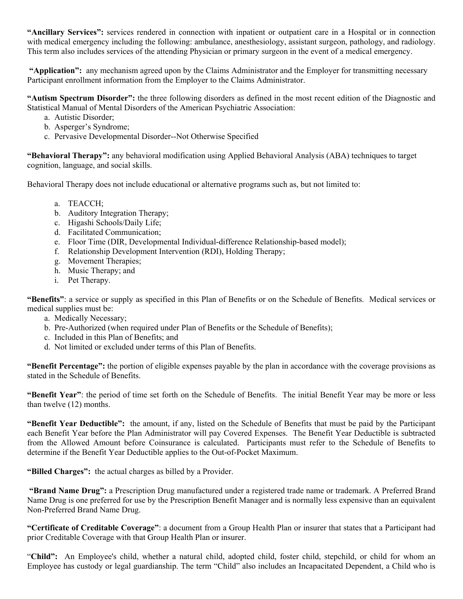**"Ancillary Services":** services rendered in connection with inpatient or outpatient care in a Hospital or in connection with medical emergency including the following: ambulance, anesthesiology, assistant surgeon, pathology, and radiology. This term also includes services of the attending Physician or primary surgeon in the event of a medical emergency.

 **"Application":** any mechanism agreed upon by the Claims Administrator and the Employer for transmitting necessary Participant enrollment information from the Employer to the Claims Administrator.

**"Autism Spectrum Disorder":** the three following disorders as defined in the most recent edition of the Diagnostic and Statistical Manual of Mental Disorders of the American Psychiatric Association:

- a. Autistic Disorder;
- b. Asperger's Syndrome;
- c. Pervasive Developmental Disorder--Not Otherwise Specified

**"Behavioral Therapy":** any behavioral modification using Applied Behavioral Analysis (ABA) techniques to target cognition, language, and social skills.

Behavioral Therapy does not include educational or alternative programs such as, but not limited to:

- a. TEACCH;
- b. Auditory Integration Therapy;
- c. Higashi Schools/Daily Life;
- d. Facilitated Communication;
- e. Floor Time (DIR, Developmental Individual-difference Relationship-based model);
- f. Relationship Development Intervention (RDI), Holding Therapy;
- g. Movement Therapies;
- h. Music Therapy; and
- i. Pet Therapy.

**"Benefits"**: a service or supply as specified in this Plan of Benefits or on the Schedule of Benefits. Medical services or medical supplies must be:

- a. Medically Necessary;
- b. Pre-Authorized (when required under Plan of Benefits or the Schedule of Benefits);
- c. Included in this Plan of Benefits; and
- d. Not limited or excluded under terms of this Plan of Benefits.

**"Benefit Percentage":** the portion of eligible expenses payable by the plan in accordance with the coverage provisions as stated in the Schedule of Benefits.

**"Benefit Year"**: the period of time set forth on the Schedule of Benefits. The initial Benefit Year may be more or less than twelve (12) months.

**"Benefit Year Deductible":** the amount, if any, listed on the Schedule of Benefits that must be paid by the Participant each Benefit Year before the Plan Administrator will pay Covered Expenses. The Benefit Year Deductible is subtracted from the Allowed Amount before Coinsurance is calculated. Participants must refer to the Schedule of Benefits to determine if the Benefit Year Deductible applies to the Out-of-Pocket Maximum.

**"Billed Charges":** the actual charges as billed by a Provider.

 **"Brand Name Drug":** a Prescription Drug manufactured under a registered trade name or trademark. A Preferred Brand Name Drug is one preferred for use by the Prescription Benefit Manager and is normally less expensive than an equivalent Non-Preferred Brand Name Drug.

**"Certificate of Creditable Coverage"**: a document from a Group Health Plan or insurer that states that a Participant had prior Creditable Coverage with that Group Health Plan or insurer.

"**Child":** An Employee's child, whether a natural child, adopted child, foster child, stepchild, or child for whom an Employee has custody or legal guardianship. The term "Child" also includes an Incapacitated Dependent, a Child who is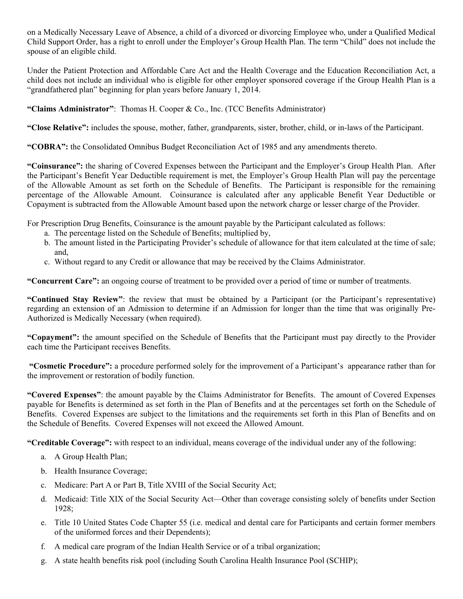on a Medically Necessary Leave of Absence, a child of a divorced or divorcing Employee who, under a Qualified Medical Child Support Order, has a right to enroll under the Employer's Group Health Plan. The term "Child" does not include the spouse of an eligible child.

Under the Patient Protection and Affordable Care Act and the Health Coverage and the Education Reconciliation Act, a child does not include an individual who is eligible for other employer sponsored coverage if the Group Health Plan is a "grandfathered plan" beginning for plan years before January 1, 2014.

**"Claims Administrator"**: Thomas H. Cooper & Co., Inc. (TCC Benefits Administrator)

**"Close Relative":** includes the spouse, mother, father, grandparents, sister, brother, child, or in-laws of the Participant.

**"COBRA":** the Consolidated Omnibus Budget Reconciliation Act of 1985 and any amendments thereto.

**"Coinsurance":** the sharing of Covered Expenses between the Participant and the Employer's Group Health Plan. After the Participant's Benefit Year Deductible requirement is met, the Employer's Group Health Plan will pay the percentage of the Allowable Amount as set forth on the Schedule of Benefits. The Participant is responsible for the remaining percentage of the Allowable Amount. Coinsurance is calculated after any applicable Benefit Year Deductible or Copayment is subtracted from the Allowable Amount based upon the network charge or lesser charge of the Provider.

For Prescription Drug Benefits, Coinsurance is the amount payable by the Participant calculated as follows:

- a. The percentage listed on the Schedule of Benefits; multiplied by,
- b. The amount listed in the Participating Provider's schedule of allowance for that item calculated at the time of sale; and,
- c. Without regard to any Credit or allowance that may be received by the Claims Administrator.

**"Concurrent Care":** an ongoing course of treatment to be provided over a period of time or number of treatments.

**"Continued Stay Review"**: the review that must be obtained by a Participant (or the Participant's representative) regarding an extension of an Admission to determine if an Admission for longer than the time that was originally Pre-Authorized is Medically Necessary (when required).

**"Copayment":** the amount specified on the Schedule of Benefits that the Participant must pay directly to the Provider each time the Participant receives Benefits.

 **"Cosmetic Procedure":** a procedure performed solely for the improvement of a Participant's appearance rather than for the improvement or restoration of bodily function.

**"Covered Expenses"**: the amount payable by the Claims Administrator for Benefits. The amount of Covered Expenses payable for Benefits is determined as set forth in the Plan of Benefits and at the percentages set forth on the Schedule of Benefits. Covered Expenses are subject to the limitations and the requirements set forth in this Plan of Benefits and on the Schedule of Benefits. Covered Expenses will not exceed the Allowed Amount.

**"Creditable Coverage":** with respect to an individual, means coverage of the individual under any of the following:

- a. A Group Health Plan;
- b. Health Insurance Coverage;
- c. Medicare: Part A or Part B, Title XVIII of the Social Security Act;
- d. Medicaid: Title XIX of the Social Security Act—Other than coverage consisting solely of benefits under Section 1928;
- e. Title 10 United States Code Chapter 55 (i.e. medical and dental care for Participants and certain former members of the uniformed forces and their Dependents);
- f. A medical care program of the Indian Health Service or of a tribal organization;
- g. A state health benefits risk pool (including South Carolina Health Insurance Pool (SCHIP);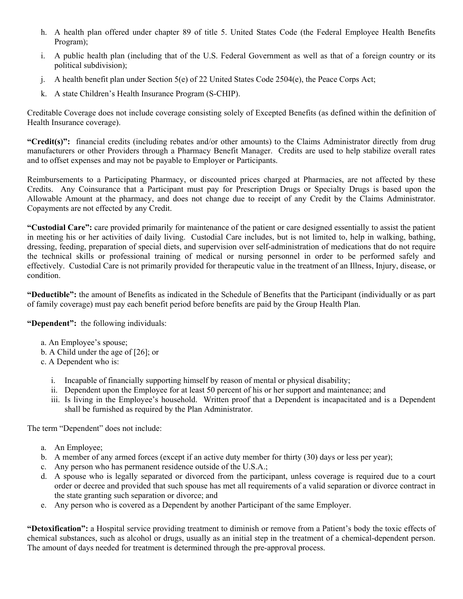- h. A health plan offered under chapter 89 of title 5. United States Code (the Federal Employee Health Benefits Program);
- i. A public health plan (including that of the U.S. Federal Government as well as that of a foreign country or its political subdivision);
- j. A health benefit plan under Section 5(e) of 22 United States Code 2504(e), the Peace Corps Act;
- k. A state Children's Health Insurance Program (S-CHIP).

Creditable Coverage does not include coverage consisting solely of Excepted Benefits (as defined within the definition of Health Insurance coverage).

**"Credit(s)":** financial credits (including rebates and/or other amounts) to the Claims Administrator directly from drug manufacturers or other Providers through a Pharmacy Benefit Manager. Credits are used to help stabilize overall rates and to offset expenses and may not be payable to Employer or Participants.

Reimbursements to a Participating Pharmacy, or discounted prices charged at Pharmacies, are not affected by these Credits. Any Coinsurance that a Participant must pay for Prescription Drugs or Specialty Drugs is based upon the Allowable Amount at the pharmacy, and does not change due to receipt of any Credit by the Claims Administrator. Copayments are not effected by any Credit.

**"Custodial Care":** care provided primarily for maintenance of the patient or care designed essentially to assist the patient in meeting his or her activities of daily living. Custodial Care includes, but is not limited to, help in walking, bathing, dressing, feeding, preparation of special diets, and supervision over self-administration of medications that do not require the technical skills or professional training of medical or nursing personnel in order to be performed safely and effectively. Custodial Care is not primarily provided for therapeutic value in the treatment of an Illness, Injury, disease, or condition.

**"Deductible":** the amount of Benefits as indicated in the Schedule of Benefits that the Participant (individually or as part of family coverage) must pay each benefit period before benefits are paid by the Group Health Plan.

**"Dependent":** the following individuals:

- a. An Employee's spouse;
- b. A Child under the age of [26]; or
- c. A Dependent who is:
	- i. Incapable of financially supporting himself by reason of mental or physical disability;
	- ii. Dependent upon the Employee for at least 50 percent of his or her support and maintenance; and
	- iii. Is living in the Employee's household. Written proof that a Dependent is incapacitated and is a Dependent shall be furnished as required by the Plan Administrator.

The term "Dependent" does not include:

- a. An Employee;
- b. A member of any armed forces (except if an active duty member for thirty (30) days or less per year);
- c. Any person who has permanent residence outside of the U.S.A.;
- d. A spouse who is legally separated or divorced from the participant, unless coverage is required due to a court order or decree and provided that such spouse has met all requirements of a valid separation or divorce contract in the state granting such separation or divorce; and
- e. Any person who is covered as a Dependent by another Participant of the same Employer.

**"Detoxification":** a Hospital service providing treatment to diminish or remove from a Patient's body the toxic effects of chemical substances, such as alcohol or drugs, usually as an initial step in the treatment of a chemical-dependent person. The amount of days needed for treatment is determined through the pre-approval process.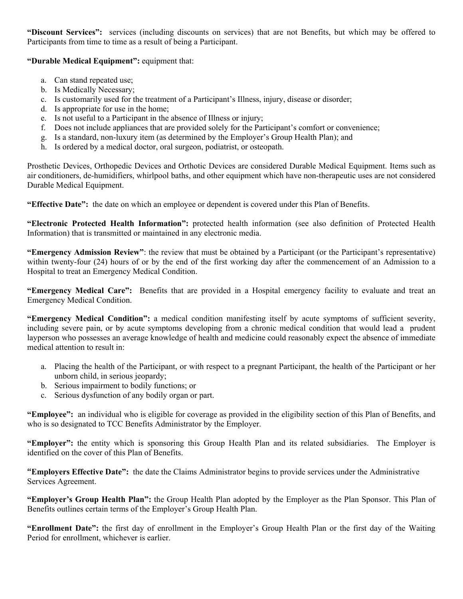**"Discount Services":** services (including discounts on services) that are not Benefits, but which may be offered to Participants from time to time as a result of being a Participant.

**"Durable Medical Equipment":** equipment that:

- a. Can stand repeated use;
- b. Is Medically Necessary;
- c. Is customarily used for the treatment of a Participant's Illness, injury, disease or disorder;
- d. Is appropriate for use in the home;
- e. Is not useful to a Participant in the absence of Illness or injury;
- f. Does not include appliances that are provided solely for the Participant's comfort or convenience;
- g. Is a standard, non-luxury item (as determined by the Employer's Group Health Plan); and
- h. Is ordered by a medical doctor, oral surgeon, podiatrist, or osteopath.

Prosthetic Devices, Orthopedic Devices and Orthotic Devices are considered Durable Medical Equipment. Items such as air conditioners, de-humidifiers, whirlpool baths, and other equipment which have non-therapeutic uses are not considered Durable Medical Equipment.

**"Effective Date":** the date on which an employee or dependent is covered under this Plan of Benefits.

**"Electronic Protected Health Information":** protected health information (see also definition of Protected Health Information) that is transmitted or maintained in any electronic media.

**"Emergency Admission Review"**: the review that must be obtained by a Participant (or the Participant's representative) within twenty-four (24) hours of or by the end of the first working day after the commencement of an Admission to a Hospital to treat an Emergency Medical Condition.

**"Emergency Medical Care":** Benefits that are provided in a Hospital emergency facility to evaluate and treat an Emergency Medical Condition.

**"Emergency Medical Condition":** a medical condition manifesting itself by acute symptoms of sufficient severity, including severe pain, or by acute symptoms developing from a chronic medical condition that would lead a prudent layperson who possesses an average knowledge of health and medicine could reasonably expect the absence of immediate medical attention to result in:

- a. Placing the health of the Participant, or with respect to a pregnant Participant, the health of the Participant or her unborn child, in serious jeopardy;
- b. Serious impairment to bodily functions; or
- c. Serious dysfunction of any bodily organ or part.

**"Employee":** an individual who is eligible for coverage as provided in the eligibility section of this Plan of Benefits, and who is so designated to TCC Benefits Administrator by the Employer.

**"Employer":** the entity which is sponsoring this Group Health Plan and its related subsidiaries. The Employer is identified on the cover of this Plan of Benefits.

**"Employers Effective Date":** the date the Claims Administrator begins to provide services under the Administrative Services Agreement.

**"Employer's Group Health Plan":** the Group Health Plan adopted by the Employer as the Plan Sponsor. This Plan of Benefits outlines certain terms of the Employer's Group Health Plan.

**"Enrollment Date":** the first day of enrollment in the Employer's Group Health Plan or the first day of the Waiting Period for enrollment, whichever is earlier.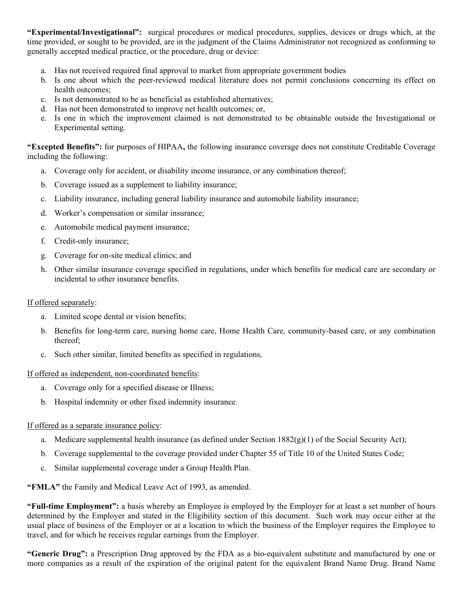**"Experimental/Investigational":** surgical procedures or medical procedures, supplies, devices or drugs which, at the time provided, or sought to be provided, are in the judgment of the Claims Administrator not recognized as conforming to generally accepted medical practice, or the procedure, drug or device:

- a. Has not received required final approval to market from appropriate government bodies
- b. Is one about which the peer-reviewed medical literature does not permit conclusions concerning its effect on health outcomes;
- c. Is not demonstrated to be as beneficial as established alternatives;
- d. Has not been demonstrated to improve net health outcomes; or,
- e. Is one in which the improvement claimed is not demonstrated to be obtainable outside the Investigational or Experimental setting.

**"Excepted Benefits":** for purposes of HIPAA**,** the following insurance coverage does not constitute Creditable Coverage including the following:

- a. Coverage only for accident, or disability income insurance, or any combination thereof;
- b. Coverage issued as a supplement to liability insurance;
- c. Liability insurance, including general liability insurance and automobile liability insurance;
- d. Worker's compensation or similar insurance;
- e. Automobile medical payment insurance;
- f. Credit-only insurance;
- g. Coverage for on-site medical clinics; and
- h. Other similar insurance coverage specified in regulations, under which benefits for medical care are secondary or incidental to other insurance benefits.

#### If offered separately:

- a. Limited scope dental or vision benefits;
- b. Benefits for long-term care, nursing home care, Home Health Care, community-based care, or any combination thereof;
- c. Such other similar, limited benefits as specified in regulations.

#### If offered as independent, non-coordinated benefits:

- a. Coverage only for a specified disease or Illness;
- b. Hospital indemnity or other fixed indemnity insurance.

#### If offered as a separate insurance policy:

- a. Medicare supplemental health insurance (as defined under Section  $1882(g)(1)$  of the Social Security Act);
- b. Coverage supplemental to the coverage provided under Chapter 55 of Title 10 of the United States Code;
- c. Similar supplemental coverage under a Group Health Plan.

**"FMLA"** the Family and Medical Leave Act of 1993, as amended.

**"Full-time Employment":** a basis whereby an Employee is employed by the Employer for at least a set number of hours determined by the Employer and stated in the Eligibility section of this document. Such work may occur either at the usual place of business of the Employer or at a location to which the business of the Employer requires the Employee to travel, and for which he receives regular earnings from the Employer.

**"Generic Drug":** a Prescription Drug approved by the FDA as a bio-equivalent substitute and manufactured by one or more companies as a result of the expiration of the original patent for the equivalent Brand Name Drug. Brand Name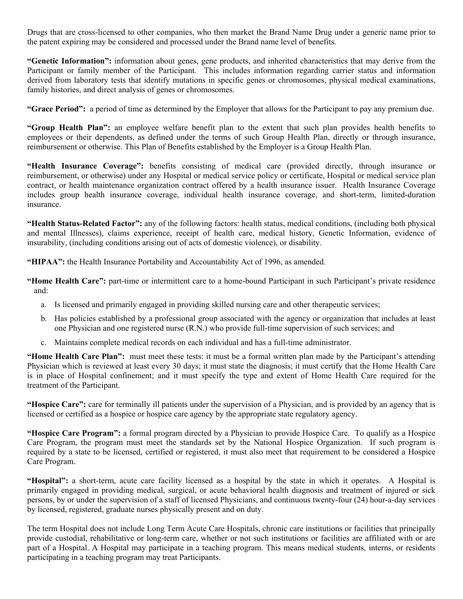Drugs that are cross-licensed to other companies, who then market the Brand Name Drug under a generic name prior to the patent expiring may be considered and processed under the Brand name level of benefits.

**"Genetic Information":** information about genes, gene products, and inherited characteristics that may derive from the Participant or family member of the Participant. This includes information regarding carrier status and information derived from laboratory tests that identify mutations in specific genes or chromosomes, physical medical examinations, family histories, and direct analysis of genes or chromosomes.

**"Grace Period":** a period of time as determined by the Employer that allows for the Participant to pay any premium due.

**"Group Health Plan":** an employee welfare benefit plan to the extent that such plan provides health benefits to employees or their dependents, as defined under the terms of such Group Health Plan, directly or through insurance, reimbursement or otherwise. This Plan of Benefits established by the Employer is a Group Health Plan.

**"Health Insurance Coverage":** benefits consisting of medical care (provided directly, through insurance or reimbursement, or otherwise) under any Hospital or medical service policy or certificate, Hospital or medical service plan contract, or health maintenance organization contract offered by a health insurance issuer. Health Insurance Coverage includes group health insurance coverage, individual health insurance coverage, and short-term, limited-duration insurance.

**"Health Status-Related Factor":** any of the following factors: health status, medical conditions, (including both physical and mental Illnesses), claims experience, receipt of health care, medical history, Genetic Information, evidence of insurability, (including conditions arising out of acts of domestic violence), or disability.

**"HIPAA":** the Health Insurance Portability and Accountability Act of 1996, as amended.

**"Home Health Care":** part-time or intermittent care to a home-bound Participant in such Participant's private residence and:

- a. Is licensed and primarily engaged in providing skilled nursing care and other therapeutic services;
- b. Has policies established by a professional group associated with the agency or organization that includes at least one Physician and one registered nurse (R.N.) who provide full-time supervision of such services; and
- c. Maintains complete medical records on each individual and has a full-time administrator.

**"Home Health Care Plan":** must meet these tests: it must be a formal written plan made by the Participant's attending Physician which is reviewed at least every 30 days; it must state the diagnosis; it must certify that the Home Health Care is in place of Hospital confinement; and it must specify the type and extent of Home Health Care required for the treatment of the Participant.

**"Hospice Care":** care for terminally ill patients under the supervision of a Physician, and is provided by an agency that is licensed or certified as a hospice or hospice care agency by the appropriate state regulatory agency.

**"Hospice Care Program":** a formal program directed by a Physician to provide Hospice Care. To qualify as a Hospice Care Program, the program must meet the standards set by the National Hospice Organization. If such program is required by a state to be licensed, certified or registered, it must also meet that requirement to be considered a Hospice Care Program.

**"Hospital":** a short-term, acute care facility licensed as a hospital by the state in which it operates. A Hospital is primarily engaged in providing medical, surgical, or acute behavioral health diagnosis and treatment of injured or sick persons, by or under the supervision of a staff of licensed Physicians, and continuous twenty-four (24) hour-a-day services by licensed, registered, graduate nurses physically present and on duty.

The term Hospital does not include Long Term Acute Care Hospitals, chronic care institutions or facilities that principally provide custodial, rehabilitative or long-term care, whether or not such institutions or facilities are affiliated with or are part of a Hospital. A Hospital may participate in a teaching program. This means medical students, interns, or residents participating in a teaching program may treat Participants.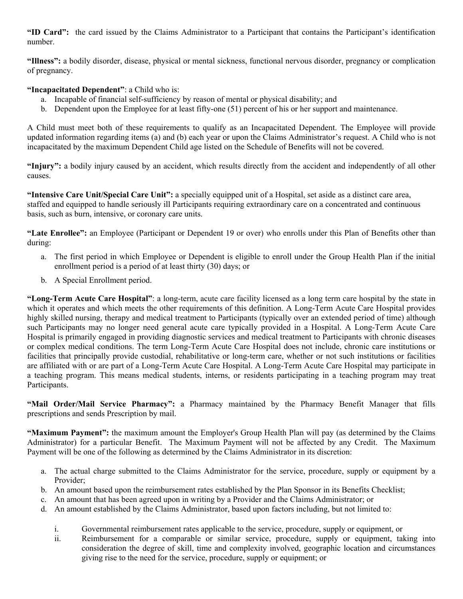**"ID Card":** the card issued by the Claims Administrator to a Participant that contains the Participant's identification number.

**"Illness":** a bodily disorder, disease, physical or mental sickness, functional nervous disorder, pregnancy or complication of pregnancy.

### **"Incapacitated Dependent"**: a Child who is:

- a. Incapable of financial self-sufficiency by reason of mental or physical disability; and
- b. Dependent upon the Employee for at least fifty-one (51) percent of his or her support and maintenance.

A Child must meet both of these requirements to qualify as an Incapacitated Dependent. The Employee will provide updated information regarding items (a) and (b) each year or upon the Claims Administrator's request. A Child who is not incapacitated by the maximum Dependent Child age listed on the Schedule of Benefits will not be covered.

**"Injury":** a bodily injury caused by an accident, which results directly from the accident and independently of all other causes.

**"Intensive Care Unit/Special Care Unit":** a specially equipped unit of a Hospital, set aside as a distinct care area, staffed and equipped to handle seriously ill Participants requiring extraordinary care on a concentrated and continuous basis, such as burn, intensive, or coronary care units.

**"Late Enrollee":** an Employee (Participant or Dependent 19 or over) who enrolls under this Plan of Benefits other than during:

- a. The first period in which Employee or Dependent is eligible to enroll under the Group Health Plan if the initial enrollment period is a period of at least thirty (30) days; or
- b. A Special Enrollment period.

**"Long-Term Acute Care Hospital"**: a long-term, acute care facility licensed as a long term care hospital by the state in which it operates and which meets the other requirements of this definition. A Long-Term Acute Care Hospital provides highly skilled nursing, therapy and medical treatment to Participants (typically over an extended period of time) although such Participants may no longer need general acute care typically provided in a Hospital. A Long-Term Acute Care Hospital is primarily engaged in providing diagnostic services and medical treatment to Participants with chronic diseases or complex medical conditions. The term Long-Term Acute Care Hospital does not include, chronic care institutions or facilities that principally provide custodial, rehabilitative or long-term care, whether or not such institutions or facilities are affiliated with or are part of a Long-Term Acute Care Hospital. A Long-Term Acute Care Hospital may participate in a teaching program. This means medical students, interns, or residents participating in a teaching program may treat Participants.

**"Mail Order/Mail Service Pharmacy":** a Pharmacy maintained by the Pharmacy Benefit Manager that fills prescriptions and sends Prescription by mail.

**"Maximum Payment":** the maximum amount the Employer's Group Health Plan will pay (as determined by the Claims Administrator) for a particular Benefit. The Maximum Payment will not be affected by any Credit. The Maximum Payment will be one of the following as determined by the Claims Administrator in its discretion:

- a. The actual charge submitted to the Claims Administrator for the service, procedure, supply or equipment by a Provider;
- b. An amount based upon the reimbursement rates established by the Plan Sponsor in its Benefits Checklist;
- c. An amount that has been agreed upon in writing by a Provider and the Claims Administrator; or
- d. An amount established by the Claims Administrator, based upon factors including, but not limited to:
	- i. Governmental reimbursement rates applicable to the service, procedure, supply or equipment, or
	- ii. Reimbursement for a comparable or similar service, procedure, supply or equipment, taking into consideration the degree of skill, time and complexity involved, geographic location and circumstances giving rise to the need for the service, procedure, supply or equipment; or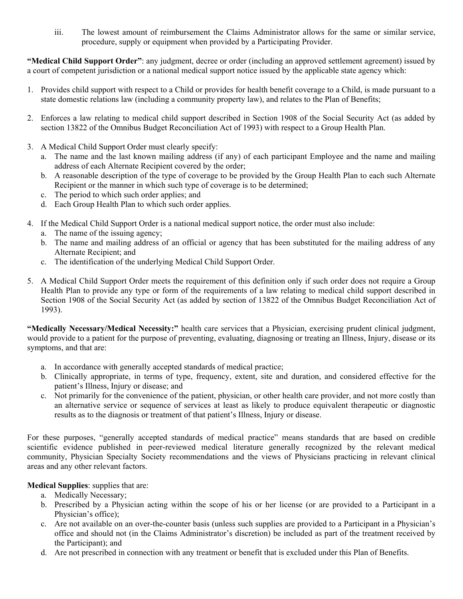iii. The lowest amount of reimbursement the Claims Administrator allows for the same or similar service, procedure, supply or equipment when provided by a Participating Provider.

**"Medical Child Support Order"**: any judgment, decree or order (including an approved settlement agreement) issued by a court of competent jurisdiction or a national medical support notice issued by the applicable state agency which:

- 1. Provides child support with respect to a Child or provides for health benefit coverage to a Child, is made pursuant to a state domestic relations law (including a community property law), and relates to the Plan of Benefits;
- 2. Enforces a law relating to medical child support described in Section 1908 of the Social Security Act (as added by section 13822 of the Omnibus Budget Reconciliation Act of 1993) with respect to a Group Health Plan.
- 3. A Medical Child Support Order must clearly specify:
	- a. The name and the last known mailing address (if any) of each participant Employee and the name and mailing address of each Alternate Recipient covered by the order;
	- b. A reasonable description of the type of coverage to be provided by the Group Health Plan to each such Alternate Recipient or the manner in which such type of coverage is to be determined;
	- c. The period to which such order applies; and
	- d. Each Group Health Plan to which such order applies.
- 4. If the Medical Child Support Order is a national medical support notice, the order must also include:
	- a. The name of the issuing agency;
	- b. The name and mailing address of an official or agency that has been substituted for the mailing address of any Alternate Recipient; and
	- c. The identification of the underlying Medical Child Support Order.
- 5. A Medical Child Support Order meets the requirement of this definition only if such order does not require a Group Health Plan to provide any type or form of the requirements of a law relating to medical child support described in Section 1908 of the Social Security Act (as added by section of 13822 of the Omnibus Budget Reconciliation Act of 1993).

**"Medically Necessary/Medical Necessity:"** health care services that a Physician, exercising prudent clinical judgment, would provide to a patient for the purpose of preventing, evaluating, diagnosing or treating an Illness, Injury, disease or its symptoms, and that are:

- a. In accordance with generally accepted standards of medical practice;
- b. Clinically appropriate, in terms of type, frequency, extent, site and duration, and considered effective for the patient's Illness, Injury or disease; and
- c. Not primarily for the convenience of the patient, physician, or other health care provider, and not more costly than an alternative service or sequence of services at least as likely to produce equivalent therapeutic or diagnostic results as to the diagnosis or treatment of that patient's Illness, Injury or disease.

For these purposes, "generally accepted standards of medical practice" means standards that are based on credible scientific evidence published in peer-reviewed medical literature generally recognized by the relevant medical community, Physician Specialty Society recommendations and the views of Physicians practicing in relevant clinical areas and any other relevant factors.

#### **Medical Supplies**: supplies that are:

- a. Medically Necessary;
- b. Prescribed by a Physician acting within the scope of his or her license (or are provided to a Participant in a Physician's office);
- c. Are not available on an over-the-counter basis (unless such supplies are provided to a Participant in a Physician's office and should not (in the Claims Administrator's discretion) be included as part of the treatment received by the Participant); and
- d. Are not prescribed in connection with any treatment or benefit that is excluded under this Plan of Benefits.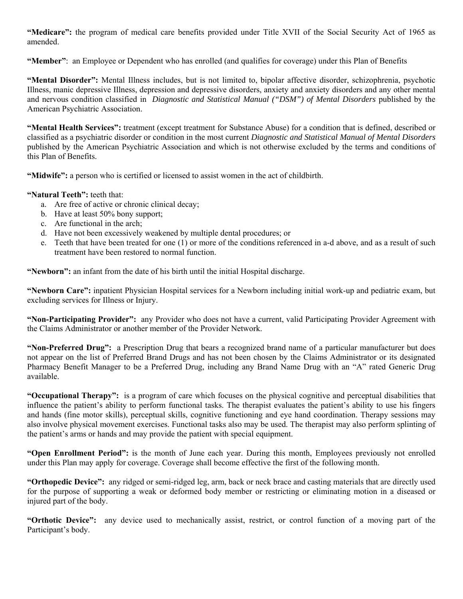**"Medicare":** the program of medical care benefits provided under Title XVII of the Social Security Act of 1965 as amended.

**"Member"**: an Employee or Dependent who has enrolled (and qualifies for coverage) under this Plan of Benefits

**"Mental Disorder":** Mental Illness includes, but is not limited to, bipolar affective disorder, schizophrenia, psychotic Illness, manic depressive Illness, depression and depressive disorders, anxiety and anxiety disorders and any other mental and nervous condition classified in *Diagnostic and Statistical Manual ("DSM") of Mental Disorders* published by the American Psychiatric Association.

**"Mental Health Services":** treatment (except treatment for Substance Abuse) for a condition that is defined, described or classified as a psychiatric disorder or condition in the most current *Diagnostic and Statistical Manual of Mental Disorders*  published by the American Psychiatric Association and which is not otherwise excluded by the terms and conditions of this Plan of Benefits.

**"Midwife":** a person who is certified or licensed to assist women in the act of childbirth.

**"Natural Teeth":** teeth that:

- a. Are free of active or chronic clinical decay;
- b. Have at least 50% bony support;
- c. Are functional in the arch;
- d. Have not been excessively weakened by multiple dental procedures; or
- e. Teeth that have been treated for one (1) or more of the conditions referenced in a-d above, and as a result of such treatment have been restored to normal function.

**"Newborn":** an infant from the date of his birth until the initial Hospital discharge.

**"Newborn Care":** inpatient Physician Hospital services for a Newborn including initial work-up and pediatric exam, but excluding services for Illness or Injury.

**"Non-Participating Provider":** any Provider who does not have a current, valid Participating Provider Agreement with the Claims Administrator or another member of the Provider Network.

**"Non-Preferred Drug":** a Prescription Drug that bears a recognized brand name of a particular manufacturer but does not appear on the list of Preferred Brand Drugs and has not been chosen by the Claims Administrator or its designated Pharmacy Benefit Manager to be a Preferred Drug, including any Brand Name Drug with an "A" rated Generic Drug available.

**"Occupational Therapy":** is a program of care which focuses on the physical cognitive and perceptual disabilities that influence the patient's ability to perform functional tasks. The therapist evaluates the patient's ability to use his fingers and hands (fine motor skills), perceptual skills, cognitive functioning and eye hand coordination. Therapy sessions may also involve physical movement exercises. Functional tasks also may be used. The therapist may also perform splinting of the patient's arms or hands and may provide the patient with special equipment.

**"Open Enrollment Period":** is the month of June each year. During this month, Employees previously not enrolled under this Plan may apply for coverage. Coverage shall become effective the first of the following month.

**"Orthopedic Device":** any ridged or semi-ridged leg, arm, back or neck brace and casting materials that are directly used for the purpose of supporting a weak or deformed body member or restricting or eliminating motion in a diseased or injured part of the body.

**"Orthotic Device":** any device used to mechanically assist, restrict, or control function of a moving part of the Participant's body.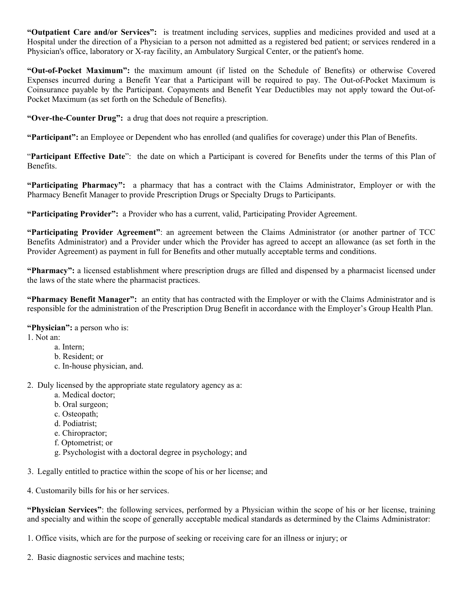**"Outpatient Care and/or Services":** is treatment including services, supplies and medicines provided and used at a Hospital under the direction of a Physician to a person not admitted as a registered bed patient; or services rendered in a Physician's office, laboratory or X-ray facility, an Ambulatory Surgical Center, or the patient's home.

**"Out-of-Pocket Maximum":** the maximum amount (if listed on the Schedule of Benefits) or otherwise Covered Expenses incurred during a Benefit Year that a Participant will be required to pay. The Out-of-Pocket Maximum is Coinsurance payable by the Participant. Copayments and Benefit Year Deductibles may not apply toward the Out-of-Pocket Maximum (as set forth on the Schedule of Benefits).

**"Over-the-Counter Drug":** a drug that does not require a prescription.

**"Participant":** an Employee or Dependent who has enrolled (and qualifies for coverage) under this Plan of Benefits.

"**Participant Effective Date**": the date on which a Participant is covered for Benefits under the terms of this Plan of Benefits.

**"Participating Pharmacy":** a pharmacy that has a contract with the Claims Administrator, Employer or with the Pharmacy Benefit Manager to provide Prescription Drugs or Specialty Drugs to Participants.

**"Participating Provider":** a Provider who has a current, valid, Participating Provider Agreement.

**"Participating Provider Agreement"**: an agreement between the Claims Administrator (or another partner of TCC Benefits Administrator) and a Provider under which the Provider has agreed to accept an allowance (as set forth in the Provider Agreement) as payment in full for Benefits and other mutually acceptable terms and conditions.

**"Pharmacy":** a licensed establishment where prescription drugs are filled and dispensed by a pharmacist licensed under the laws of the state where the pharmacist practices.

**"Pharmacy Benefit Manager":** an entity that has contracted with the Employer or with the Claims Administrator and is responsible for the administration of the Prescription Drug Benefit in accordance with the Employer's Group Health Plan.

**"Physician":** a person who is:

1. Not an:

- a. Intern;
- b. Resident; or
- c. In-house physician, and.
- 2. Duly licensed by the appropriate state regulatory agency as a:
	- a. Medical doctor;
	- b. Oral surgeon;
	- c. Osteopath;
	- d. Podiatrist;
	- e. Chiropractor;
	- f. Optometrist; or
	- g. Psychologist with a doctoral degree in psychology; and

3. Legally entitled to practice within the scope of his or her license; and

4. Customarily bills for his or her services.

**"Physician Services"**: the following services, performed by a Physician within the scope of his or her license, training and specialty and within the scope of generally acceptable medical standards as determined by the Claims Administrator:

1. Office visits, which are for the purpose of seeking or receiving care for an illness or injury; or

2. Basic diagnostic services and machine tests;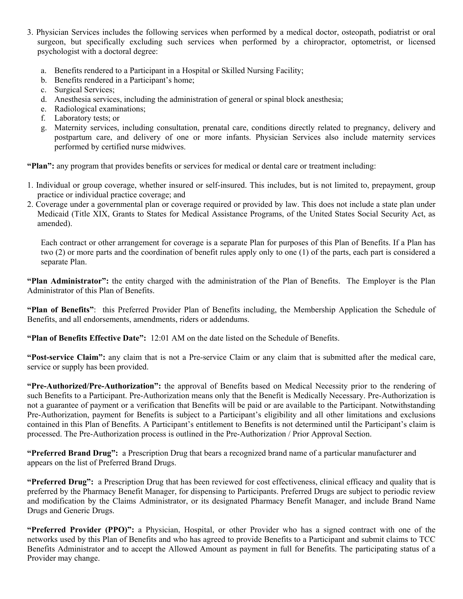- 3. Physician Services includes the following services when performed by a medical doctor, osteopath, podiatrist or oral surgeon, but specifically excluding such services when performed by a chiropractor, optometrist, or licensed psychologist with a doctoral degree:
	- a. Benefits rendered to a Participant in a Hospital or Skilled Nursing Facility;
	- b. Benefits rendered in a Participant's home;
	- c. Surgical Services;
	- d. Anesthesia services, including the administration of general or spinal block anesthesia;
	- e. Radiological examinations;
	- f. Laboratory tests; or
	- g. Maternity services, including consultation, prenatal care, conditions directly related to pregnancy, delivery and postpartum care, and delivery of one or more infants. Physician Services also include maternity services performed by certified nurse midwives.

**"Plan":** any program that provides benefits or services for medical or dental care or treatment including:

- 1. Individual or group coverage, whether insured or self-insured. This includes, but is not limited to, prepayment, group practice or individual practice coverage; and
- 2. Coverage under a governmental plan or coverage required or provided by law. This does not include a state plan under Medicaid (Title XIX, Grants to States for Medical Assistance Programs, of the United States Social Security Act, as amended).

Each contract or other arrangement for coverage is a separate Plan for purposes of this Plan of Benefits. If a Plan has two (2) or more parts and the coordination of benefit rules apply only to one (1) of the parts, each part is considered a separate Plan.

**"Plan Administrator":** the entity charged with the administration of the Plan of Benefits. The Employer is the Plan Administrator of this Plan of Benefits.

**"Plan of Benefits"**: this Preferred Provider Plan of Benefits including, the Membership Application the Schedule of Benefits, and all endorsements, amendments, riders or addendums.

**"Plan of Benefits Effective Date":** 12:01 AM on the date listed on the Schedule of Benefits.

**"Post-service Claim":** any claim that is not a Pre-service Claim or any claim that is submitted after the medical care, service or supply has been provided.

**"Pre-Authorized/Pre-Authorization":** the approval of Benefits based on Medical Necessity prior to the rendering of such Benefits to a Participant. Pre-Authorization means only that the Benefit is Medically Necessary. Pre-Authorization is not a guarantee of payment or a verification that Benefits will be paid or are available to the Participant. Notwithstanding Pre-Authorization, payment for Benefits is subject to a Participant's eligibility and all other limitations and exclusions contained in this Plan of Benefits. A Participant's entitlement to Benefits is not determined until the Participant's claim is processed. The Pre-Authorization process is outlined in the Pre-Authorization / Prior Approval Section.

**"Preferred Brand Drug":** a Prescription Drug that bears a recognized brand name of a particular manufacturer and appears on the list of Preferred Brand Drugs.

**"Preferred Drug":** a Prescription Drug that has been reviewed for cost effectiveness, clinical efficacy and quality that is preferred by the Pharmacy Benefit Manager, for dispensing to Participants. Preferred Drugs are subject to periodic review and modification by the Claims Administrator, or its designated Pharmacy Benefit Manager, and include Brand Name Drugs and Generic Drugs.

**"Preferred Provider (PPO)":** a Physician, Hospital, or other Provider who has a signed contract with one of the networks used by this Plan of Benefits and who has agreed to provide Benefits to a Participant and submit claims to TCC Benefits Administrator and to accept the Allowed Amount as payment in full for Benefits. The participating status of a Provider may change.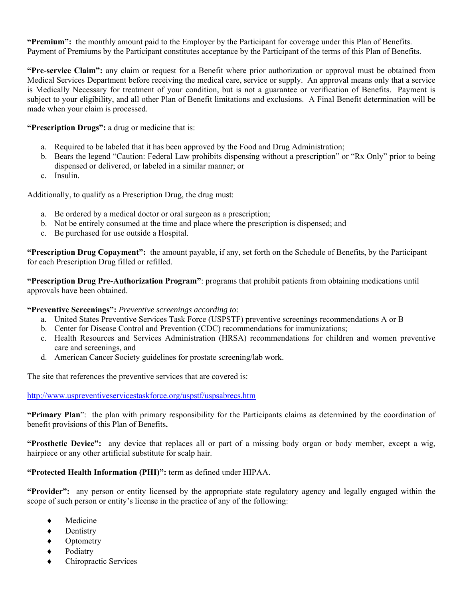**"Premium":** the monthly amount paid to the Employer by the Participant for coverage under this Plan of Benefits. Payment of Premiums by the Participant constitutes acceptance by the Participant of the terms of this Plan of Benefits.

**"Pre-service Claim":** any claim or request for a Benefit where prior authorization or approval must be obtained from Medical Services Department before receiving the medical care, service or supply. An approval means only that a service is Medically Necessary for treatment of your condition, but is not a guarantee or verification of Benefits. Payment is subject to your eligibility, and all other Plan of Benefit limitations and exclusions. A Final Benefit determination will be made when your claim is processed.

**"Prescription Drugs":** a drug or medicine that is:

- a. Required to be labeled that it has been approved by the Food and Drug Administration;
- b. Bears the legend "Caution: Federal Law prohibits dispensing without a prescription" or "Rx Only" prior to being dispensed or delivered, or labeled in a similar manner; or
- c. Insulin.

Additionally, to qualify as a Prescription Drug, the drug must:

- a. Be ordered by a medical doctor or oral surgeon as a prescription;
- b. Not be entirely consumed at the time and place where the prescription is dispensed; and
- c. Be purchased for use outside a Hospital.

**"Prescription Drug Copayment":** the amount payable, if any, set forth on the Schedule of Benefits, by the Participant for each Prescription Drug filled or refilled.

**"Prescription Drug Pre-Authorization Program"**: programs that prohibit patients from obtaining medications until approvals have been obtained.

**"Preventive Screenings":** *Preventive screenings according to:* 

- a. United States Preventive Services Task Force (USPSTF) preventive screenings recommendations A or B
- b. Center for Disease Control and Prevention (CDC) recommendations for immunizations;
- c. Health Resources and Services Administration (HRSA) recommendations for children and women preventive care and screenings, and
- d. American Cancer Society guidelines for prostate screening/lab work.

The site that references the preventive services that are covered is:

http://www.uspreventiveservicestaskforce.org/uspstf/uspsabrecs.htm

**"Primary Plan**": the plan with primary responsibility for the Participants claims as determined by the coordination of benefit provisions of this Plan of Benefits**.**

**"Prosthetic Device":** any device that replaces all or part of a missing body organ or body member, except a wig, hairpiece or any other artificial substitute for scalp hair.

## **"Protected Health Information (PHI)":** term as defined under HIPAA.

**"Provider":** any person or entity licensed by the appropriate state regulatory agency and legally engaged within the scope of such person or entity's license in the practice of any of the following:

- Medicine
- Dentistry
- ◆ Optometry
- Podiatry
- Chiropractic Services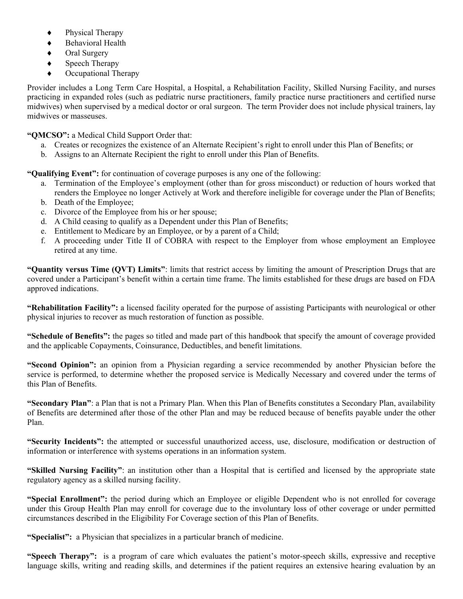- Physical Therapy
- ◆ Behavioral Health
- ◆ Oral Surgery
- Speech Therapy
- Occupational Therapy

Provider includes a Long Term Care Hospital, a Hospital, a Rehabilitation Facility, Skilled Nursing Facility, and nurses practicing in expanded roles (such as pediatric nurse practitioners, family practice nurse practitioners and certified nurse midwives) when supervised by a medical doctor or oral surgeon. The term Provider does not include physical trainers, lay midwives or masseuses.

**"QMCSO":** a Medical Child Support Order that:

- a. Creates or recognizes the existence of an Alternate Recipient's right to enroll under this Plan of Benefits; or
- b. Assigns to an Alternate Recipient the right to enroll under this Plan of Benefits.

**"Qualifying Event":** for continuation of coverage purposes is any one of the following:

- a. Termination of the Employee's employment (other than for gross misconduct) or reduction of hours worked that renders the Employee no longer Actively at Work and therefore ineligible for coverage under the Plan of Benefits;
- b. Death of the Employee;
- c. Divorce of the Employee from his or her spouse;
- d. A Child ceasing to qualify as a Dependent under this Plan of Benefits;
- e. Entitlement to Medicare by an Employee, or by a parent of a Child;
- f. A proceeding under Title II of COBRA with respect to the Employer from whose employment an Employee retired at any time.

**"Quantity versus Time (QVT) Limits"**: limits that restrict access by limiting the amount of Prescription Drugs that are covered under a Participant's benefit within a certain time frame. The limits established for these drugs are based on FDA approved indications.

**"Rehabilitation Facility":** a licensed facility operated for the purpose of assisting Participants with neurological or other physical injuries to recover as much restoration of function as possible.

**"Schedule of Benefits":** the pages so titled and made part of this handbook that specify the amount of coverage provided and the applicable Copayments, Coinsurance, Deductibles, and benefit limitations.

**"Second Opinion":** an opinion from a Physician regarding a service recommended by another Physician before the service is performed, to determine whether the proposed service is Medically Necessary and covered under the terms of this Plan of Benefits.

**"Secondary Plan"**: a Plan that is not a Primary Plan. When this Plan of Benefits constitutes a Secondary Plan, availability of Benefits are determined after those of the other Plan and may be reduced because of benefits payable under the other Plan.

**"Security Incidents":** the attempted or successful unauthorized access, use, disclosure, modification or destruction of information or interference with systems operations in an information system.

**"Skilled Nursing Facility"**: an institution other than a Hospital that is certified and licensed by the appropriate state regulatory agency as a skilled nursing facility.

**"Special Enrollment":** the period during which an Employee or eligible Dependent who is not enrolled for coverage under this Group Health Plan may enroll for coverage due to the involuntary loss of other coverage or under permitted circumstances described in the Eligibility For Coverage section of this Plan of Benefits.

**"Specialist":** a Physician that specializes in a particular branch of medicine.

**"Speech Therapy":** is a program of care which evaluates the patient's motor-speech skills, expressive and receptive language skills, writing and reading skills, and determines if the patient requires an extensive hearing evaluation by an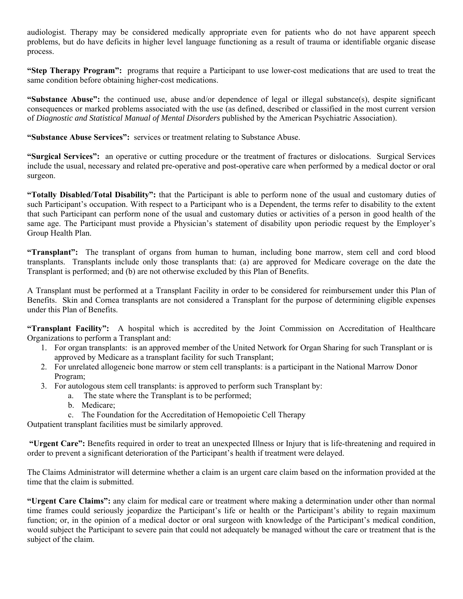audiologist. Therapy may be considered medically appropriate even for patients who do not have apparent speech problems, but do have deficits in higher level language functioning as a result of trauma or identifiable organic disease process.

**"Step Therapy Program":** programs that require a Participant to use lower-cost medications that are used to treat the same condition before obtaining higher-cost medications.

**"Substance Abuse":** the continued use, abuse and/or dependence of legal or illegal substance(s), despite significant consequences or marked problems associated with the use (as defined, described or classified in the most current version of *Diagnostic and Statistical Manual of Mental Disorders* published by the American Psychiatric Association).

**"Substance Abuse Services":** services or treatment relating to Substance Abuse.

**"Surgical Services":** an operative or cutting procedure or the treatment of fractures or dislocations. Surgical Services include the usual, necessary and related pre-operative and post-operative care when performed by a medical doctor or oral surgeon.

**"Totally Disabled/Total Disability":** that the Participant is able to perform none of the usual and customary duties of such Participant's occupation. With respect to a Participant who is a Dependent, the terms refer to disability to the extent that such Participant can perform none of the usual and customary duties or activities of a person in good health of the same age. The Participant must provide a Physician's statement of disability upon periodic request by the Employer's Group Health Plan.

**"Transplant":** The transplant of organs from human to human, including bone marrow, stem cell and cord blood transplants. Transplants include only those transplants that: (a) are approved for Medicare coverage on the date the Transplant is performed; and (b) are not otherwise excluded by this Plan of Benefits.

A Transplant must be performed at a Transplant Facility in order to be considered for reimbursement under this Plan of Benefits. Skin and Cornea transplants are not considered a Transplant for the purpose of determining eligible expenses under this Plan of Benefits.

**"Transplant Facility":** A hospital which is accredited by the Joint Commission on Accreditation of Healthcare Organizations to perform a Transplant and:

- 1. For organ transplants: is an approved member of the United Network for Organ Sharing for such Transplant or is approved by Medicare as a transplant facility for such Transplant;
- 2. For unrelated allogeneic bone marrow or stem cell transplants: is a participant in the National Marrow Donor Program;
- 3. For autologous stem cell transplants: is approved to perform such Transplant by:
	- a. The state where the Transplant is to be performed;
	- b. Medicare;
	- c. The Foundation for the Accreditation of Hemopoietic Cell Therapy

Outpatient transplant facilities must be similarly approved.

 **"Urgent Care":** Benefits required in order to treat an unexpected Illness or Injury that is life-threatening and required in order to prevent a significant deterioration of the Participant's health if treatment were delayed.

The Claims Administrator will determine whether a claim is an urgent care claim based on the information provided at the time that the claim is submitted.

**"Urgent Care Claims":** any claim for medical care or treatment where making a determination under other than normal time frames could seriously jeopardize the Participant's life or health or the Participant's ability to regain maximum function; or, in the opinion of a medical doctor or oral surgeon with knowledge of the Participant's medical condition, would subject the Participant to severe pain that could not adequately be managed without the care or treatment that is the subject of the claim.